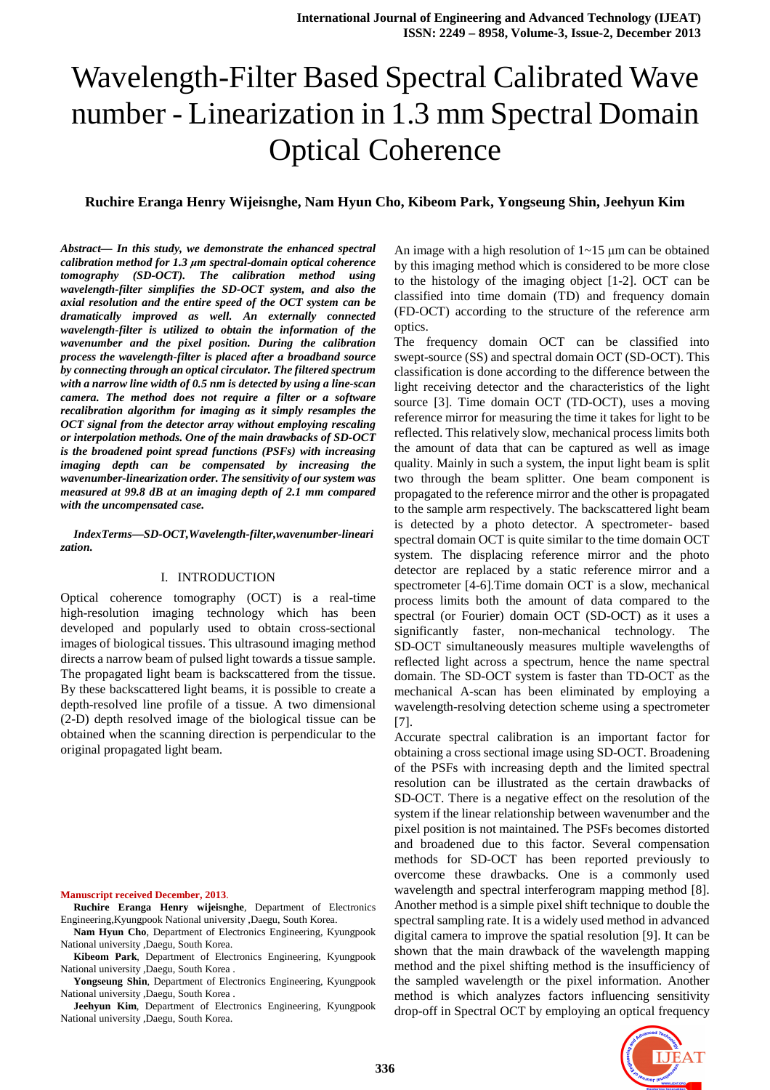# Wavelength-Filter Based Spectral Calibrated Wave number - Linearization in 1.3 mm Spectral Domain Optical Coherence

# **Ruchire Eranga Henry Wijeisnghe, Nam Hyun Cho, Kibeom Park, Yongseung Shin, Jeehyun Kim**

*Abstract***—** *In this study, we demonstrate the enhanced spectral calibration method for 1.3 µm spectral-domain optical coherence tomography (SD-OCT). The calibration method using wavelength-filter simplifies the SD-OCT system, and also the axial resolution and the entire speed of the OCT system can be dramatically improved as well. An externally connected wavelength-filter is utilized to obtain the information of the wavenumber and the pixel position. During the calibration process the wavelength-filter is placed after a broadband source by connecting through an optical circulator. The filtered spectrum with a narrow line width of 0.5 nm is detected by using a line-scan camera. The method does not require a filter or a software recalibration algorithm for imaging as it simply resamples the OCT signal from the detector array without employing rescaling or interpolation methods. One of the main drawbacks of SD-OCT is the broadened point spread functions (PSFs) with increasing imaging depth can be compensated by increasing the wavenumber-linearization order. The sensitivity of our system was measured at 99.8 dB at an imaging depth of 2.1 mm compared with the uncompensated case.* 

*IndexTerms***—***SD-OCT,Wavelength-filter,wavenumber-lineari zation.* 

#### I. INTRODUCTION

Optical coherence tomography (OCT) is a real-time high-resolution imaging technology which has been developed and popularly used to obtain cross-sectional images of biological tissues. This ultrasound imaging method directs a narrow beam of pulsed light towards a tissue sample. The propagated light beam is backscattered from the tissue. By these backscattered light beams, it is possible to create a depth-resolved line profile of a tissue. A two dimensional (2-D) depth resolved image of the biological tissue can be obtained when the scanning direction is perpendicular to the original propagated light beam.

#### **Manuscript received December, 2013**.

- **Ruchire Eranga Henry wijeisnghe**, Department of Electronics Engineering,Kyungpook National university ,Daegu, South Korea.
- **Nam Hyun Cho**, Department of Electronics Engineering, Kyungpook National university ,Daegu, South Korea.
- **Kibeom Park**, Department of Electronics Engineering, Kyungpook National university ,Daegu, South Korea .
- **Yongseung Shin**, Department of Electronics Engineering, Kyungpook National university ,Daegu, South Korea .

**Jeehyun Kim**, Department of Electronics Engineering, Kyungpook National university ,Daegu, South Korea.

An image with a high resolution of  $1 \sim 15$  µm can be obtained by this imaging method which is considered to be more close to the histology of the imaging object [1-2]. OCT can be classified into time domain (TD) and frequency domain (FD-OCT) according to the structure of the reference arm optics.

The frequency domain OCT can be classified into swept-source (SS) and spectral domain OCT (SD-OCT). This classification is done according to the difference between the light receiving detector and the characteristics of the light source [3]. Time domain OCT (TD-OCT), uses a moving reference mirror for measuring the time it takes for light to be reflected. This relatively slow, mechanical process limits both the amount of data that can be captured as well as image quality. Mainly in such a system, the input light beam is split two through the beam splitter. One beam component is propagated to the reference mirror and the other is propagated to the sample arm respectively. The backscattered light beam is detected by a photo detector. A spectrometer- based spectral domain OCT is quite similar to the time domain OCT system. The displacing reference mirror and the photo detector are replaced by a static reference mirror and a spectrometer [4-6].Time domain OCT is a slow, mechanical process limits both the amount of data compared to the spectral (or Fourier) domain OCT (SD-OCT) as it uses a significantly faster, non-mechanical technology. The SD-OCT simultaneously measures multiple wavelengths of reflected light across a spectrum, hence the name spectral domain. The SD-OCT system is faster than TD-OCT as the mechanical A-scan has been eliminated by employing a wavelength-resolving detection scheme using a spectrometer [7].

Accurate spectral calibration is an important factor for obtaining a cross sectional image using SD-OCT. Broadening of the PSFs with increasing depth and the limited spectral resolution can be illustrated as the certain drawbacks of SD-OCT. There is a negative effect on the resolution of the system if the linear relationship between wavenumber and the pixel position is not maintained. The PSFs becomes distorted and broadened due to this factor. Several compensation methods for SD-OCT has been reported previously to overcome these drawbacks. One is a commonly used wavelength and spectral interferogram mapping method [8]. Another method is a simple pixel shift technique to double the spectral sampling rate. It is a widely used method in advanced digital camera to improve the spatial resolution [9]. It can be shown that the main drawback of the wavelength mapping method and the pixel shifting method is the insufficiency of the sampled wavelength or the pixel information. Another method is which analyzes factors influencing sensitivity drop-off in Spectral OCT by employing an optical frequency

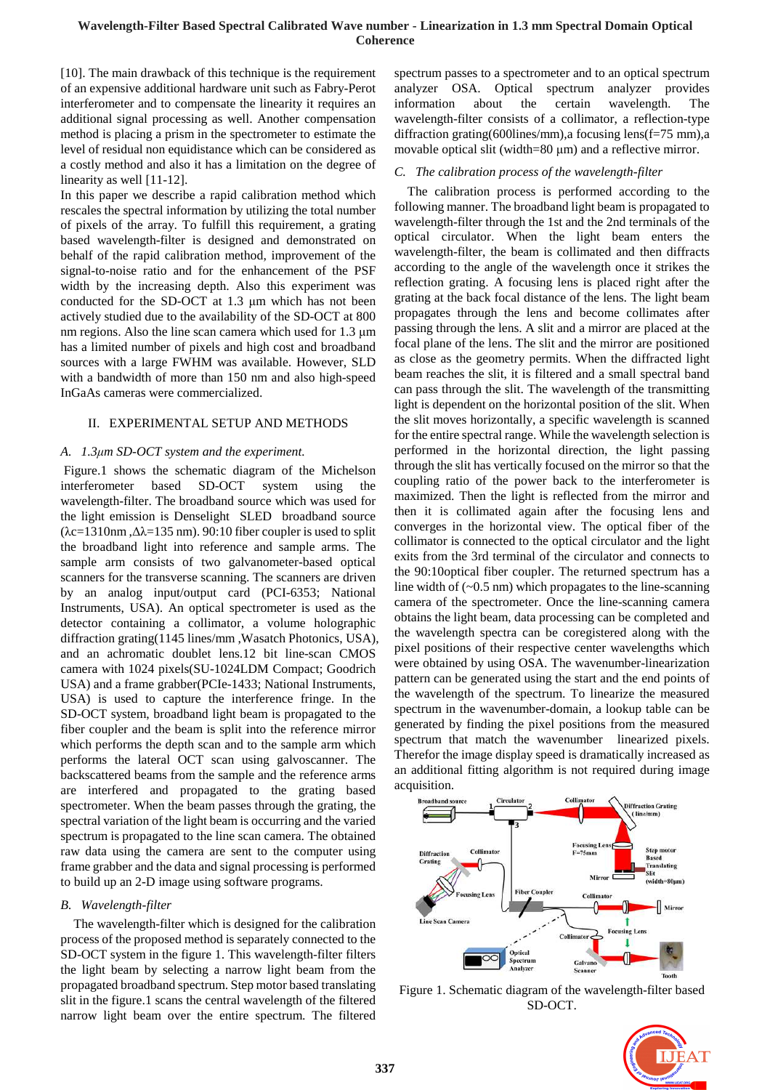## **Wavelength-Filter Based Spectral Calibrated Wave number - Linearization in 1.3 mm Spectral Domain Optical Coherence**

[10]. The main drawback of this technique is the requirement of an expensive additional hardware unit such as Fabry-Perot interferometer and to compensate the linearity it requires an additional signal processing as well. Another compensation method is placing a prism in the spectrometer to estimate the level of residual non equidistance which can be considered as a costly method and also it has a limitation on the degree of linearity as well [11-12].

In this paper we describe a rapid calibration method which rescales the spectral information by utilizing the total number of pixels of the array. To fulfill this requirement, a grating based wavelength-filter is designed and demonstrated on behalf of the rapid calibration method, improvement of the signal-to-noise ratio and for the enhancement of the PSF width by the increasing depth. Also this experiment was conducted for the SD-OCT at 1.3 µm which has not been actively studied due to the availability of the SD-OCT at 800 nm regions. Also the line scan camera which used for 1.3  $\mu$ m has a limited number of pixels and high cost and broadband sources with a large FWHM was available. However, SLD with a bandwidth of more than 150 nm and also high-speed InGaAs cameras were commercialized.

# II. EXPERIMENTAL SETUP AND METHODS

# *A. 1.3µm SD-OCT system and the experiment.*

 Figure.1 shows the schematic diagram of the Michelson interferometer based SD-OCT system using the wavelength-filter. The broadband source which was used for the light emission is Denselight SLED broadband source ( $\lambda$ c=1310nm, $\Delta\lambda$ =135 nm). 90:10 fiber coupler is used to split the broadband light into reference and sample arms. The sample arm consists of two galvanometer-based optical scanners for the transverse scanning. The scanners are driven by an analog input/output card (PCI-6353; National Instruments, USA). An optical spectrometer is used as the detector containing a collimator, a volume holographic diffraction grating(1145 lines/mm ,Wasatch Photonics, USA), and an achromatic doublet lens.12 bit line-scan CMOS camera with 1024 pixels(SU-1024LDM Compact; Goodrich USA) and a frame grabber(PCIe-1433; National Instruments, USA) is used to capture the interference fringe. In the SD-OCT system, broadband light beam is propagated to the fiber coupler and the beam is split into the reference mirror which performs the depth scan and to the sample arm which performs the lateral OCT scan using galvoscanner. The backscattered beams from the sample and the reference arms are interfered and propagated to the grating based spectrometer. When the beam passes through the grating, the spectral variation of the light beam is occurring and the varied spectrum is propagated to the line scan camera. The obtained raw data using the camera are sent to the computer using frame grabber and the data and signal processing is performed to build up an 2-D image using software programs.

#### *B. Wavelength-filter*

The wavelength-filter which is designed for the calibration process of the proposed method is separately connected to the SD-OCT system in the figure 1. This wavelength-filter filters the light beam by selecting a narrow light beam from the propagated broadband spectrum. Step motor based translating slit in the figure.1 scans the central wavelength of the filtered narrow light beam over the entire spectrum. The filtered spectrum passes to a spectrometer and to an optical spectrum analyzer OSA. Optical spectrum analyzer provides information about the certain wavelength. The wavelength-filter consists of a collimator, a reflection-type diffraction grating(600lines/mm),a focusing lens(f=75 mm),a movable optical slit (width=80  $\mu$ m) and a reflective mirror.

#### *C. The calibration process of the wavelength-filter*

The calibration process is performed according to the following manner. The broadband light beam is propagated to wavelength-filter through the 1st and the 2nd terminals of the optical circulator. When the light beam enters the wavelength-filter, the beam is collimated and then diffracts according to the angle of the wavelength once it strikes the reflection grating. A focusing lens is placed right after the grating at the back focal distance of the lens. The light beam propagates through the lens and become collimates after passing through the lens. A slit and a mirror are placed at the focal plane of the lens. The slit and the mirror are positioned as close as the geometry permits. When the diffracted light beam reaches the slit, it is filtered and a small spectral band can pass through the slit. The wavelength of the transmitting light is dependent on the horizontal position of the slit. When the slit moves horizontally, a specific wavelength is scanned for the entire spectral range. While the wavelength selection is performed in the horizontal direction, the light passing through the slit has vertically focused on the mirror so that the coupling ratio of the power back to the interferometer is maximized. Then the light is reflected from the mirror and then it is collimated again after the focusing lens and converges in the horizontal view. The optical fiber of the collimator is connected to the optical circulator and the light exits from the 3rd terminal of the circulator and connects to the 90:10optical fiber coupler. The returned spectrum has a line width of  $(-0.5 \text{ nm})$  which propagates to the line-scanning camera of the spectrometer. Once the line-scanning camera obtains the light beam, data processing can be completed and the wavelength spectra can be coregistered along with the pixel positions of their respective center wavelengths which were obtained by using OSA. The wavenumber-linearization pattern can be generated using the start and the end points of the wavelength of the spectrum. To linearize the measured spectrum in the wavenumber-domain, a lookup table can be generated by finding the pixel positions from the measured spectrum that match the wavenumber linearized pixels. Therefor the image display speed is dramatically increased as an additional fitting algorithm is not required during image acquisition.



Figure 1. Schematic diagram of the wavelength-filter based SD-OCT.

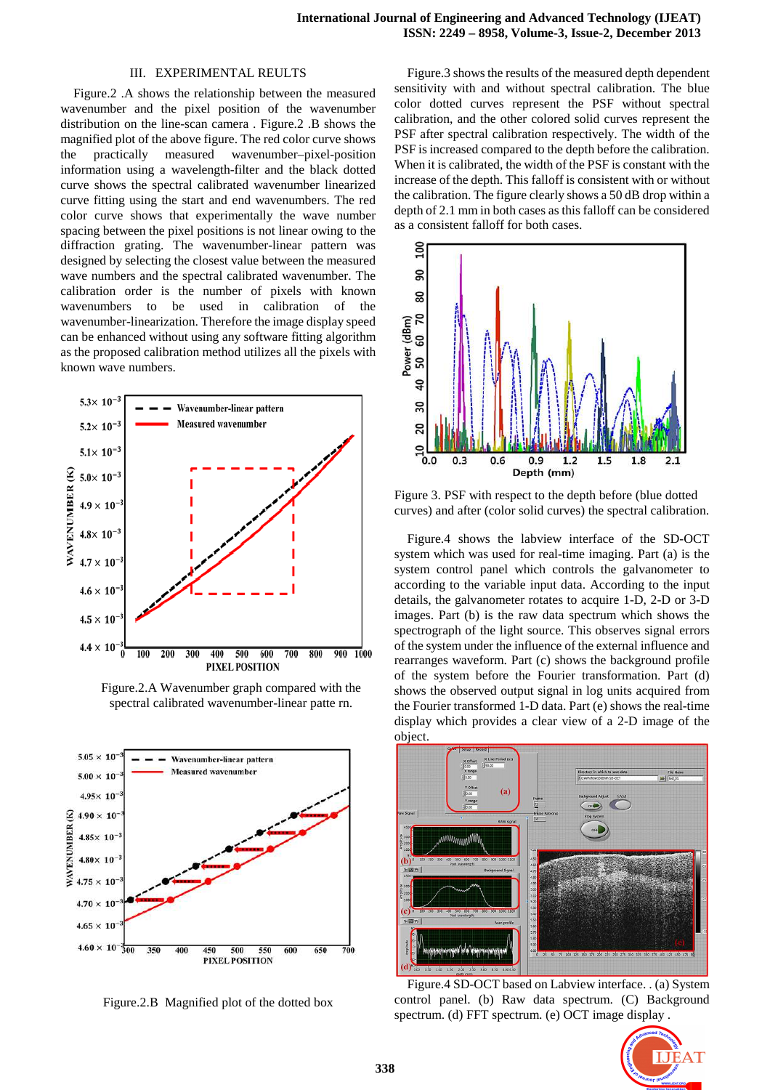#### III. EXPERIMENTAL REULTS

Figure.2 .A shows the relationship between the measured wavenumber and the pixel position of the wavenumber distribution on the line-scan camera . Figure.2 .B shows the magnified plot of the above figure. The red color curve shows the practically measured wavenumber–pixel-position information using a wavelength-filter and the black dotted curve shows the spectral calibrated wavenumber linearized curve fitting using the start and end wavenumbers. The red color curve shows that experimentally the wave number spacing between the pixel positions is not linear owing to the diffraction grating. The wavenumber-linear pattern was designed by selecting the closest value between the measured wave numbers and the spectral calibrated wavenumber. The calibration order is the number of pixels with known wavenumbers to be used in calibration of the wavenumber-linearization. Therefore the image display speed can be enhanced without using any software fitting algorithm as the proposed calibration method utilizes all the pixels with known wave numbers.



Figure.2.A Wavenumber graph compared with the spectral calibrated wavenumber-linear patte rn.



Figure.2.B Magnified plot of the dotted box

Figure.3 shows the results of the measured depth dependent sensitivity with and without spectral calibration. The blue color dotted curves represent the PSF without spectral calibration, and the other colored solid curves represent the PSF after spectral calibration respectively. The width of the PSF is increased compared to the depth before the calibration. When it is calibrated, the width of the PSF is constant with the increase of the depth. This falloff is consistent with or without the calibration. The figure clearly shows a 50 dB drop within a depth of 2.1 mm in both cases as this falloff can be considered as a consistent falloff for both cases.



Figure 3. PSF with respect to the depth before (blue dotted curves) and after (color solid curves) the spectral calibration.

Figure.4 shows the labview interface of the SD-OCT system which was used for real-time imaging. Part (a) is the system control panel which controls the galvanometer to according to the variable input data. According to the input details, the galvanometer rotates to acquire 1-D, 2-D or 3-D images. Part (b) is the raw data spectrum which shows the spectrograph of the light source. This observes signal errors of the system under the influence of the external influence and rearranges waveform. Part (c) shows the background profile of the system before the Fourier transformation. Part (d) shows the observed output signal in log units acquired from the Fourier transformed 1-D data. Part (e) shows the real-time display which provides a clear view of a 2-D image of the object.



Figure.4 SD-OCT based on Labview interface. . (a) System control panel. (b) Raw data spectrum. (C) Background spectrum. (d) FFT spectrum. (e) OCT image display .

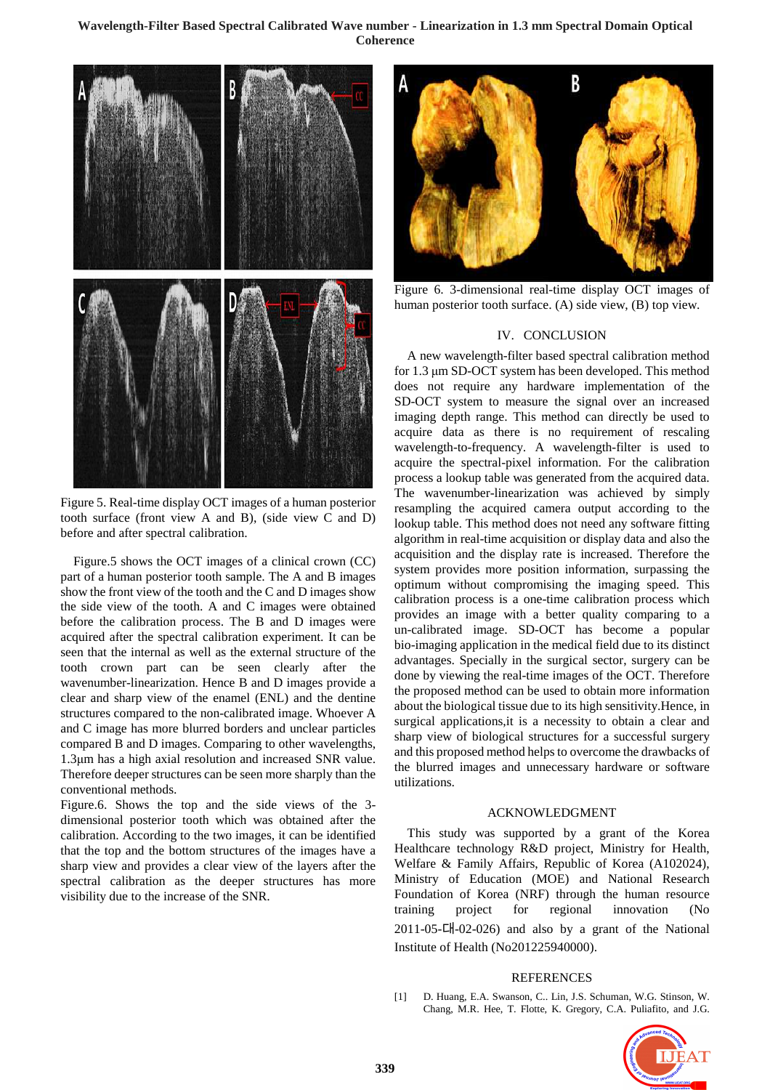## **Wavelength-Filter Based Spectral Calibrated Wave number - Linearization in 1.3 mm Spectral Domain Optical Coherence**



Figure 5. Real-time display OCT images of a human posterior tooth surface (front view A and B), (side view C and D) before and after spectral calibration.

Figure.5 shows the OCT images of a clinical crown (CC) part of a human posterior tooth sample. The A and B images show the front view of the tooth and the C and D images show the side view of the tooth. A and C images were obtained before the calibration process. The B and D images were acquired after the spectral calibration experiment. It can be seen that the internal as well as the external structure of the tooth crown part can be seen clearly after the wavenumber-linearization. Hence B and D images provide a clear and sharp view of the enamel (ENL) and the dentine structures compared to the non-calibrated image. Whoever A and C image has more blurred borders and unclear particles compared B and D images. Comparing to other wavelengths, 1.3µm has a high axial resolution and increased SNR value. Therefore deeper structures can be seen more sharply than the conventional methods.

Figure.6. Shows the top and the side views of the 3 dimensional posterior tooth which was obtained after the calibration. According to the two images, it can be identified that the top and the bottom structures of the images have a sharp view and provides a clear view of the layers after the spectral calibration as the deeper structures has more visibility due to the increase of the SNR.



Figure 6. 3-dimensional real-time display OCT images of human posterior tooth surface. (A) side view, (B) top view.

#### IV. CONCLUSION

A new wavelength-filter based spectral calibration method for 1.3 µm SD-OCT system has been developed. This method does not require any hardware implementation of the SD-OCT system to measure the signal over an increased imaging depth range. This method can directly be used to acquire data as there is no requirement of rescaling wavelength-to-frequency. A wavelength-filter is used to acquire the spectral-pixel information. For the calibration process a lookup table was generated from the acquired data. The wavenumber-linearization was achieved by simply resampling the acquired camera output according to the lookup table. This method does not need any software fitting algorithm in real-time acquisition or display data and also the acquisition and the display rate is increased. Therefore the system provides more position information, surpassing the optimum without compromising the imaging speed. This calibration process is a one-time calibration process which provides an image with a better quality comparing to a un-calibrated image. SD-OCT has become a popular bio-imaging application in the medical field due to its distinct advantages. Specially in the surgical sector, surgery can be done by viewing the real-time images of the OCT. Therefore the proposed method can be used to obtain more information about the biological tissue due to its high sensitivity.Hence, in surgical applications,it is a necessity to obtain a clear and sharp view of biological structures for a successful surgery and this proposed method helps to overcome the drawbacks of the blurred images and unnecessary hardware or software utilizations.

## ACKNOWLEDGMENT

This study was supported by a grant of the Korea Healthcare technology R&D project, Ministry for Health, Welfare & Family Affairs, Republic of Korea (A102024), Ministry of Education (MOE) and National Research Foundation of Korea (NRF) through the human resource training project for regional innovation (No  $2011-05$ -CH $-02-026$ ) and also by a grant of the National Institute of Health (No201225940000).

#### **REFERENCES**

[1] D. Huang, E.A. Swanson, C.. Lin, J.S. Schuman, W.G. Stinson, W. Chang, M.R. Hee, T. Flotte, K. Gregory, C.A. Puliafito, and J.G.